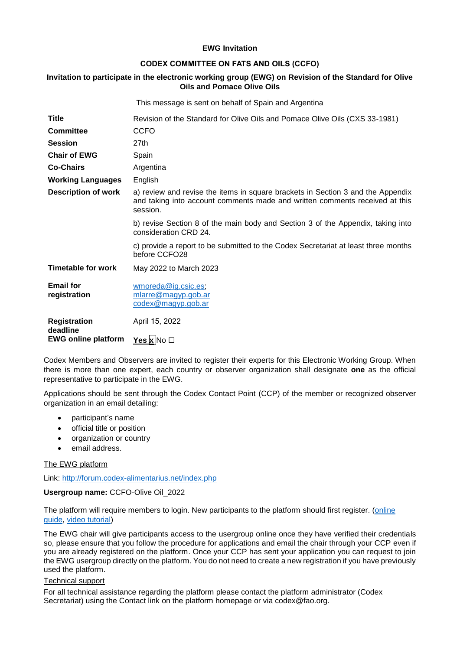### **EWG Invitation**

# **CODEX COMMITTEE ON FATS AND OILS (CCFO)**

# **Invitation to participate in the electronic working group (EWG) on Revision of the Standard for Olive Oils and Pomace Olive Oils**

|                                  | This message is sent on behalf of Spain and Argentina                                                                                                                      |
|----------------------------------|----------------------------------------------------------------------------------------------------------------------------------------------------------------------------|
| Title                            | Revision of the Standard for Olive Oils and Pomace Olive Oils (CXS 33-1981)                                                                                                |
| <b>Committee</b>                 | <b>CCFO</b>                                                                                                                                                                |
| Session                          | 27th                                                                                                                                                                       |
| <b>Chair of EWG</b>              | Spain                                                                                                                                                                      |
| <b>Co-Chairs</b>                 | Argentina                                                                                                                                                                  |
| <b>Working Languages</b>         | English                                                                                                                                                                    |
| <b>Description of work</b>       | a) review and revise the items in square brackets in Section 3 and the Appendix<br>and taking into account comments made and written comments received at this<br>session. |
|                                  | b) revise Section 8 of the main body and Section 3 of the Appendix, taking into<br>consideration CRD 24.                                                                   |
|                                  | c) provide a report to be submitted to the Codex Secretariat at least three months<br>before CCFO28                                                                        |
| <b>Timetable for work</b>        | May 2022 to March 2023                                                                                                                                                     |
| <b>Email for</b><br>registration | wmoreda@ig.csic.es;<br>mlarre@magyp.gob.ar<br>codex@magyp.gob.ar                                                                                                           |
| <b>Registration</b><br>deadline  | April 15, 2022                                                                                                                                                             |
| <b>EWG online platform</b>       | Yes $x \rceil$ No $\Box$                                                                                                                                                   |

Codex Members and Observers are invited to register their experts for this Electronic Working Group. When there is more than one expert, each country or observer organization shall designate **one** as the official representative to participate in the EWG.

Applications should be sent through the Codex Contact Point (CCP) of the member or recognized observer organization in an email detailing:

- participant's name
- official title or position
- organization or country
- email address.

The EWG platform

Link:<http://forum.codex-alimentarius.net/index.php>

#### **Usergroup name:** CCFO-Olive Oil\_2022

The platform will require members to login. New participants to the platform should first register. [\(online](http://forum.codex-alimentarius.net/viewtopic.php?f=13&t=11)  [guide,](http://forum.codex-alimentarius.net/viewtopic.php?f=13&t=11) [video tutorial\)](https://youtu.be/EJn9k7wNSwk)

The EWG chair will give participants access to the usergroup online once they have verified their credentials so, please ensure that you follow the procedure for applications and email the chair through your CCP even if you are already registered on the platform. Once your CCP has sent your application you can request to join the EWG usergroup directly on the platform. You do not need to create a new registration if you have previously used the platform.

#### Technical support

For all technical assistance regarding the platform please contact the platform administrator (Codex Secretariat) using the [Contact link](http://forum.codex-alimentarius.net/) on the platform homepage or via codex@fao.org.